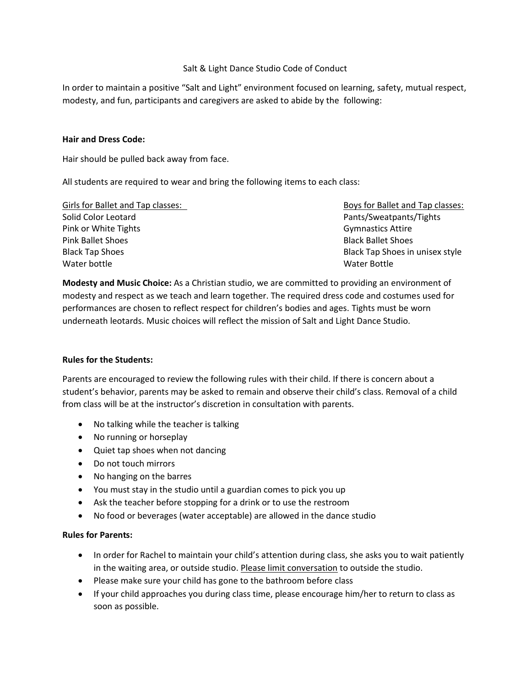### Salt & Light Dance Studio Code of Conduct

In order to maintain a positive "Salt and Light" environment focused on learning, safety, mutual respect, modesty, and fun, participants and caregivers are asked to abide by the following:

#### **Hair and Dress Code:**

Hair should be pulled back away from face.

All students are required to wear and bring the following items to each class:

| Girls for Ballet and Tap classes: | Boys for Ballet and Tap classes: |
|-----------------------------------|----------------------------------|
| Solid Color Leotard               | Pants/Sweatpants/Tights          |
| Pink or White Tights              | <b>Gymnastics Attire</b>         |
| <b>Pink Ballet Shoes</b>          | <b>Black Ballet Shoes</b>        |
| <b>Black Tap Shoes</b>            | Black Tap Shoes in unisex style  |
| Water bottle                      | Water Bottle                     |

**Modesty and Music Choice:** As a Christian studio, we are committed to providing an environment of modesty and respect as we teach and learn together. The required dress code and costumes used for performances are chosen to reflect respect for children's bodies and ages. Tights must be worn underneath leotards. Music choices will reflect the mission of Salt and Light Dance Studio.

### **Rules for the Students:**

Parents are encouraged to review the following rules with their child. If there is concern about a student's behavior, parents may be asked to remain and observe their child's class. Removal of a child from class will be at the instructor's discretion in consultation with parents.

- No talking while the teacher is talking
- No running or horseplay
- Quiet tap shoes when not dancing
- Do not touch mirrors
- No hanging on the barres
- You must stay in the studio until a guardian comes to pick you up
- Ask the teacher before stopping for a drink or to use the restroom
- No food or beverages (water acceptable) are allowed in the dance studio

### **Rules for Parents:**

- In order for Rachel to maintain your child's attention during class, she asks you to wait patiently in the waiting area, or outside studio. Please limit conversation to outside the studio.
- Please make sure your child has gone to the bathroom before class
- If your child approaches you during class time, please encourage him/her to return to class as soon as possible.